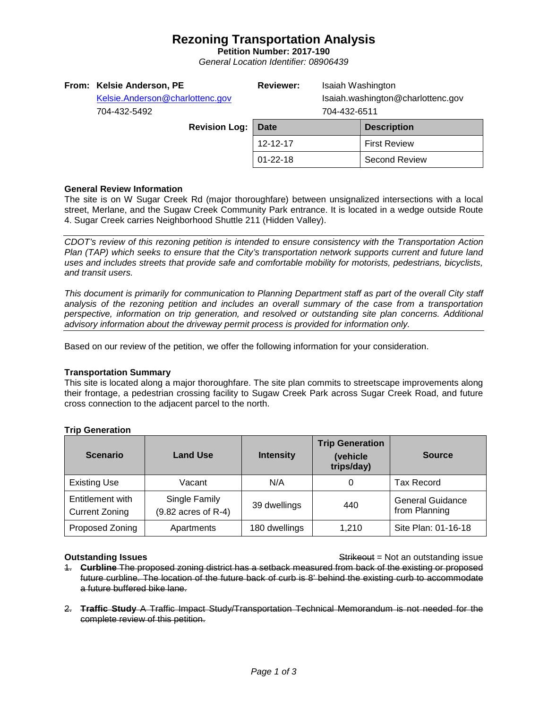## **Rezoning Transportation Analysis**

**Petition Number: 2017-190** *General Location Identifier: 08906439*

|  | From: Kelsie Anderson, PE<br>Kelsie.Anderson@charlottenc.gov<br>704-432-5492<br><b>Revision Log:</b> |  | <b>Reviewer:</b> | Isaiah Washington<br>Isaiah.washington@charlottenc.gov<br>704-432-6511 |                      |
|--|------------------------------------------------------------------------------------------------------|--|------------------|------------------------------------------------------------------------|----------------------|
|  |                                                                                                      |  | Date             |                                                                        | <b>Description</b>   |
|  |                                                                                                      |  | 12-12-17         |                                                                        | <b>First Review</b>  |
|  |                                                                                                      |  | $01 - 22 - 18$   |                                                                        | <b>Second Review</b> |
|  |                                                                                                      |  |                  |                                                                        |                      |

## **General Review Information**

The site is on W Sugar Creek Rd (major thoroughfare) between unsignalized intersections with a local street, Merlane, and the Sugaw Creek Community Park entrance. It is located in a wedge outside Route 4. Sugar Creek carries Neighborhood Shuttle 211 (Hidden Valley).

*CDOT's review of this rezoning petition is intended to ensure consistency with the Transportation Action Plan (TAP) which seeks to ensure that the City's transportation network supports current and future land uses and includes streets that provide safe and comfortable mobility for motorists, pedestrians, bicyclists, and transit users.*

*This document is primarily for communication to Planning Department staff as part of the overall City staff analysis of the rezoning petition and includes an overall summary of the case from a transportation perspective, information on trip generation, and resolved or outstanding site plan concerns. Additional advisory information about the driveway permit process is provided for information only.*

Based on our review of the petition, we offer the following information for your consideration.

### **Transportation Summary**

This site is located along a major thoroughfare. The site plan commits to streetscape improvements along their frontage, a pedestrian crossing facility to Sugaw Creek Park across Sugar Creek Road, and future cross connection to the adjacent parcel to the north.

## **Trip Generation**

| <b>Scenario</b>                           | <b>Land Use</b>                      | <b>Intensity</b> | <b>Trip Generation</b><br>(vehicle<br>trips/day) | <b>Source</b>                            |
|-------------------------------------------|--------------------------------------|------------------|--------------------------------------------------|------------------------------------------|
| <b>Existing Use</b>                       | Vacant                               | N/A              |                                                  | Tax Record                               |
| Entitlement with<br><b>Current Zoning</b> | Single Family<br>(9.82 acres of R-4) | 39 dwellings     | 440                                              | <b>General Guidance</b><br>from Planning |
| Proposed Zoning                           | Apartments                           | 180 dwellings    | 1.210                                            | Site Plan: 01-16-18                      |

**Outstanding Issues Container and Strikeout = Not an outstanding issue Strikeout = Not an outstanding issue** 

- 1. **Curbline** The proposed zoning district has a setback measured from back of the existing or proposed future curbline. The location of the future back of curb is 8' behind the existing curb to accommodate a future buffered bike lane.
- 2. **Traffic Study** A Traffic Impact Study/Transportation Technical Memorandum is not needed for the complete review of this petition.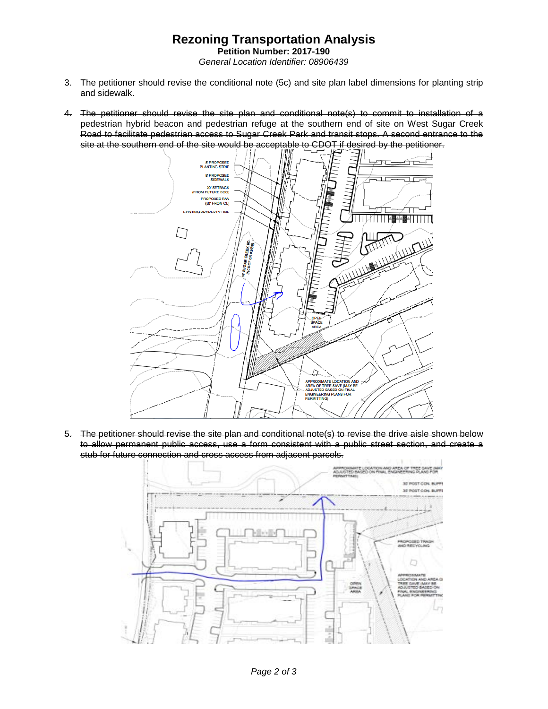# **Rezoning Transportation Analysis**

**Petition Number: 2017-190** *General Location Identifier: 08906439*

- 3. The petitioner should revise the conditional note (5c) and site plan label dimensions for planting strip and sidewalk.
- 4. The petitioner should revise the site plan and conditional note(s) to commit to installation of a pedestrian hybrid beacon and pedestrian refuge at the southern end of site on West Sugar Creek Road to facilitate pedestrian access to Sugar Creek Park and transit stops. A second entrance to the site at the southern end of the site would be acceptable to CDOT if desired by the petitioner.



5. The petitioner should revise the site plan and conditional note(s) to revise the drive aisle shown below to allow permanent public access, use a form consistent with a public street section, and create a stub for future connection and cross access from adjacent parcels.